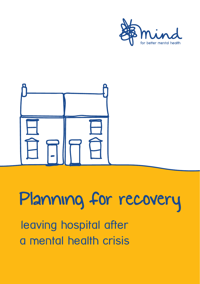



# Planning for recovery

leaving hospital after a mental health crisis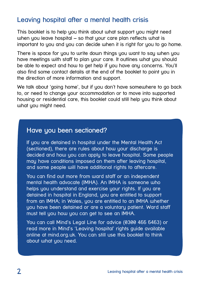## **Leaving hospital after a mental health crisis**

This booklet is to help you think about what support you might need when you leave hospital  $-$  so that your care plan reflects what is important to you and you can decide when it is right for you to go home.

There is space for you to write down things you want to say when you have meetings with staff to plan your care. It outlines what you should be able to expect and how to get help if you have any concerns. You'll also find some contact details at the end of the booklet to point you in the direction of more information and support.

We talk about 'going home', but if you don't have somewhere to go back to, or need to change your accommodation or to move into supported housing or residential care, this booklet could still help you think about what you might need.

## **Have you been sectioned?**

If you are detained in hospital under the Mental Health Act (sectioned), there are rules about how your discharge is decided and how you can apply to leave hospital. Some people may have conditions imposed on them after leaving hospital, and some people will have additional rights to aftercare.

You can find out more from ward staff or an independent mental health advocate (IMHA). An IMHA is someone who helps you understand and exercise your rights. If you are detained in hospital in England, you are entitled to support from an IMHA; in Wales, you are entitled to an IMHA whether you have been detained or are a voluntary patient. Ward staff must tell you how you can get to see an IMHA.

You can call Mind's Legal Line for advice (0300 466 6463) or read more in Mind's 'Leaving hospital' rights guide available online at mind.org.uk. You can still use this booklet to think about what you need.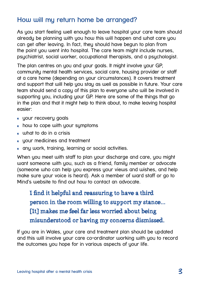## **How will my return home be arranged?**

As you start feeling well enough to leave hospital your care team should already be planning with you how this will happen and what care you can get after leaving. In fact, they should have begun to plan from the point you went into hospital. The care team might include nurses, psychiatrist, social worker, occupational therapists, and a psychologist.

The plan centres on you and your goals. It might involve your GP, community mental health services, social care, housing provider or staff at a care home (depending on your circumstances). It covers treatment and support that will help you stay as well as possible in future. Your care team should send a copy of this plan to everyone who will be involved in supporting you, including your GP. Here are some of the things that go in the plan and that it might help to think about, to make leaving hospital easier:

- your recovery goals
- how to cope with your symptoms
- what to do in a crisis
- **v** your medicines and treatment
- any work, training, learning or social activities.

When you meet with staff to plan your discharge and care, you might want someone with you, such as a friend, family member or advocate (someone who can help you express your views and wishes, and help make sure your voice is heard). Ask a member of ward staff or go to Mind's website to find out how to contact an advocate.

I find it helpful and reassuring to have a third person in the room willing to support my stance... [It] makes me feel far less worried about being misunderstood or having my concerns dismissed.

If you are in Wales, your care and treatment plan should be updated and this will involve your care co-ordinator working with you to record the outcomes you hope for in various aspects of your life.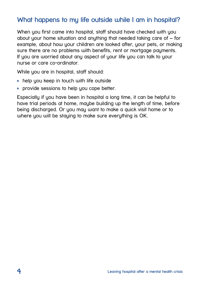# **What happens to my life outside while I am in hospital?**

When you first came into hospital, staff should have checked with you about your home situation and anything that needed taking care of – for example, about how your children are looked after, your pets, or making sure there are no problems with benefits, rent or mortgage payments. If you are worried about any aspect of your life you can talk to your nurse or care co-ordinator.

While you are in hospital, staff should:

- help you keep in touch with life outside
- provide sessions to help you cope better.

Especially if you have been in hospital a long time, it can be helpful to have trial periods at home, maybe building up the length of time, before being discharged. Or you may want to make a quick visit home or to where you will be staying to make sure everything is OK.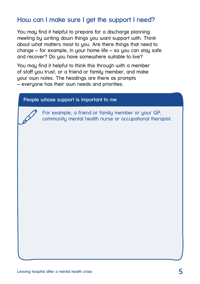## **How can I make sure I get the support I need?**

You may find it helpful to prepare for a discharge planning meeting by writing down things you want support with. Think about what matters most to you. Are there things that need to change – for example, in your home life – so you can stay safe and recover? Do you have somewhere suitable to live?

You may find it helpful to think this through with a member of staff you trust, or a friend or family member, and make your own notes. The headings are there as prompts – everyone has their own needs and priorities.

#### **People whose support is important to me**

For example, a friend or family member or your GP, community mental health nurse or occupational therapist.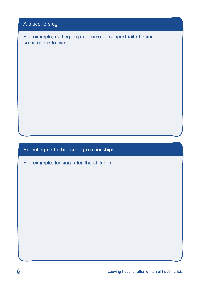#### **A place to stay**

For example, getting help at home or support with finding somewhere to live.

#### **Parenting and other caring relationships**

For example, looking after the children.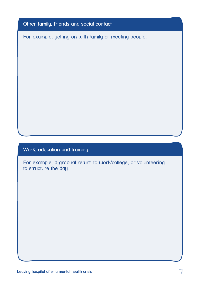#### **Other family, friends and social contact**

For example, getting on with family or meeting people.

#### **Work, education and training**

For example, a gradual return to work/college, or volunteering to structure the day.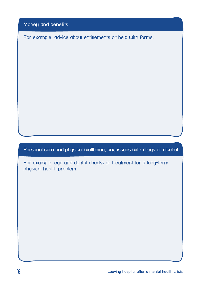**Money and benefits**

For example, advice about entitlements or help with forms.

**Personal care and physical wellbeing, any issues with drugs or alcohol**

For example, eye and dental checks or treatment for a long-term physical health problem.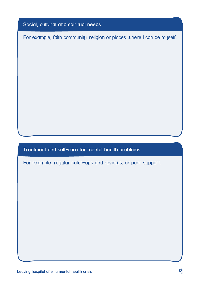#### **Social, cultural and spiritual needs**

For example, faith community, religion or places where I can be myself.

#### **Treatment and self-care for mental health problems**

For example, regular catch-ups and reviews, or peer support.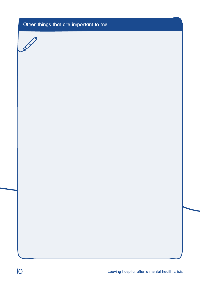## **Other things that are important to me**

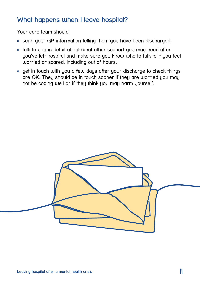## **What happens when I leave hospital?**

Your care team should:

- send your GP information telling them you have been discharged.
- talk to you in detail about what other support you may need after you've left hospital and make sure you know who to talk to if you feel worried or scared, including out of hours.
- get in touch with you a few days after your discharge to check things are OK. They should be in touch sooner if they are worried you may not be coping well or if they think you may harm yourself.

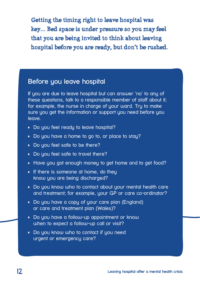Getting the timing right to leave hospital was key... Bed space is under pressure so you may feel that you are being invited to think about leaving hospital before you are ready, but don't be rushed.

## **Before you leave hospital**

If you are due to leave hospital but can answer 'no' to any of these questions, talk to a responsible member of staff about it; for example, the nurse in charge of your ward. Tru to make sure you get the information or support you need before you leave.

- Do you feel ready to leave hospital?
- Do you have a home to go to, or place to stay?
- Do you feel safe to be there?
- Do you feel safe to travel there?
- Have you got enough money to get home and to get food?
- If there is someone at home, do they know you are being discharged?
- Do you know who to contact about your mental health care and treatment; for example, your GP or care co-ordinator?
- Do you have a copy of your care plan (England) or care and treatment plan (Wales)?
- Do you have a follow-up appointment or know when to expect a follow-up call or visit?
- Do you know who to contact if you need urgent or emergency care?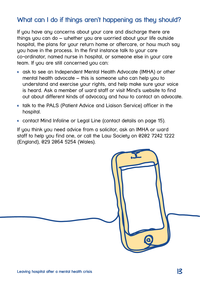# **What can I do if things aren't happening as they should?**

If you have any concerns about your care and discharge there are things you can do – whether you are worried about your life outside hospital, the plans for your return home or aftercare, or how much say you have in the process. In the first instance talk to your care co-ordinator, named nurse in hospital, or someone else in your care team. If you are still concerned you can:

- ask to see an Independent Mental Health Advocate (IMHA) or other mental health advocate – this is someone who can help you to understand and exercise your rights, and help make sure your voice is heard. Ask a member of ward staff or visit Mind's website to find out about different kinds of advocacy and how to contact an advocate.
- talk to the PALS (Patient Advice and Liaison Service) officer in the hospital.
- contact Mind Infoline or Legal Line (contact details on page 15).

If you think you need advice from a solicitor, ask an IMHA or ward staff to help you find one, or call the Law Society on 0202 7242 1222 (England), 029 2064 5254 (Wales).

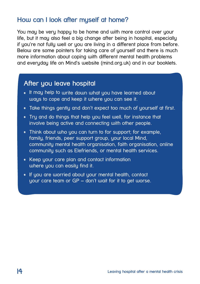## **How can I look after myself at home?**

You may be very happy to be home and with more control over your life, but it may also feel a big change after being in hospital, especially if you're not fully well or you are living in a different place from before. Below are some pointers for taking care of yourself and there is much more information about coping with different mental health problems and everyday life on Mind's website (mind.org.uk) and in our booklets.

## **After you leave hospital**

- It may help to write down what you have learned about ways to cope and keep it where you can see it.
- Take things gently and don't expect too much of yourself at first.
- Try and do things that help you feel well, for instance that involve being active and connecting with other people.
- Think about who you can turn to for support; for example, family, friends, peer support group, your local Mind, community mental health organisation, faith organisation, online community such as Elefriends, or mental health services.
- Keep your care plan and contact information where you can easily find it.
- If you are worried about your mental health, contact your care team or GP – don't wait for it to get worse.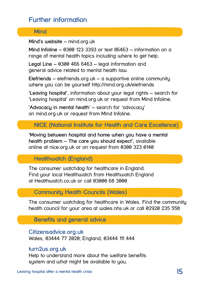# **Further information**

#### **Mind**

**Mind's website** – mind.org.uk

**Mind Infoline** – 0300 123 3393 or text 86463 – information on a range of mental health topics including where to get help.

**Legal Line** – 0300 466 6463 – legal information and general advice related to mental health law.

**Elefriends** – elefriends.org.uk – a supportive online community where you can be yourself http://mind.org.uk/elefriends

**'Leaving hospital'**, information about your legal rights – search for 'Leaving hospital' on mind.org.uk or request from Mind Infoline.

**'Advocacy in mental health'** – search for 'advocacy' on mind.org.uk or request from Mind Infoline.

**NICE (National Institute for Health and Care Excellence)**

**'Moving between hospital and home when you have a mental health problem – The care you should expect',** available online at nice.org.uk or on request from 0300 323 0140

**Healthwatch (England)**

The consumer watchdog for healthcare in England. Find your local Healthwatch from Healthwatch England at Healthwatch.co.uk or call 03000 68 3000

**Community Health Councils (Wales)**

The consumer watchdog for healthcare in Wales. Find the community health council for your area at wales.nhs.uk or call 02920 235 558

**Benefits and general advice**

**Citizensadvice.org.uk** Wales, 03444 77 2020; England, 03444 111 444

#### **turn2us.org.uk**

Help to understand more about the welfare benefits sustem and what might be available to you.